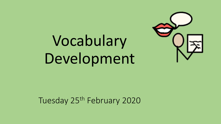# Vocabulary Development



Tuesday 25<sup>th</sup> February 2020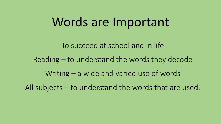### Words are Important

- To succeed at school and in life
- Reading to understand the words they decode
	- Writing a wide and varied use of words
- All subjects to understand the words that are used.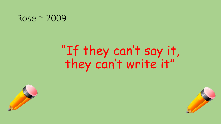#### Rose ~ 2009

# "If they can't say it, they can't write it"



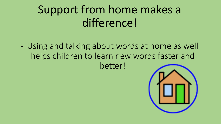# Support from home makes a difference!

- Using and talking about words at home as well helps children to learn new words faster and better!

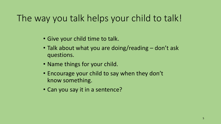### The way you talk helps your child to talk!

- Give your child time to talk.
- Talk about what you are doing/reading don't ask questions.
- Name things for your child.
- Encourage your child to say when they don't know something.
- Can you say it in a sentence?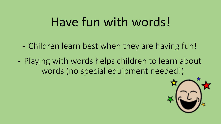# Have fun with words!

- Children learn best when they are having fun!
- Playing with words helps children to learn about words (no special equipment needed!)

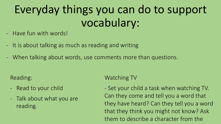# Everyday things you can do to support vocabulary:

- Have fun with words!
- It is about talking as much as reading and writing
- When talking about words, use comments more than questions.

Reading:

- Read to your child
- Talk about what you are reading.

Watching TV

- Set your child a task when watching TV. Can they come and tell you a word that they have heard? Can they tell you a word that they think you might not know? Ask them to describe a character from the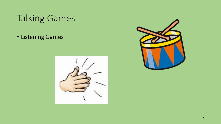### Talking Games

• Listening Games



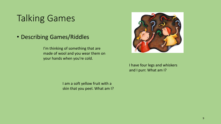### Talking Games

• Describing Games/Riddles

I'm thinking of something that are made of wool and you wear them on your hands when you're cold.



I have four legs and whiskers and I purr. What am I?

I am a soft yellow fruit with a skin that you peel. What am I?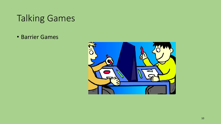### Talking Games

• Barrier Games

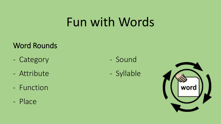# Fun with Words

#### Word Rounds

- Category
- Attribute
- Function
- Place
- Sound
- Syllable

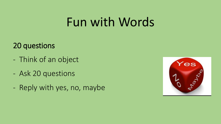# Fun with Words

#### 20 questions

- Think of an object
- Ask 20 questions
- Reply with yes, no, maybe

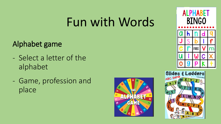# Fun with Words

#### Alphabet game

- Select a letter of the alphabet
- Game, profession and place





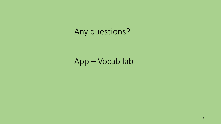### Any questions?

App – Vocab lab